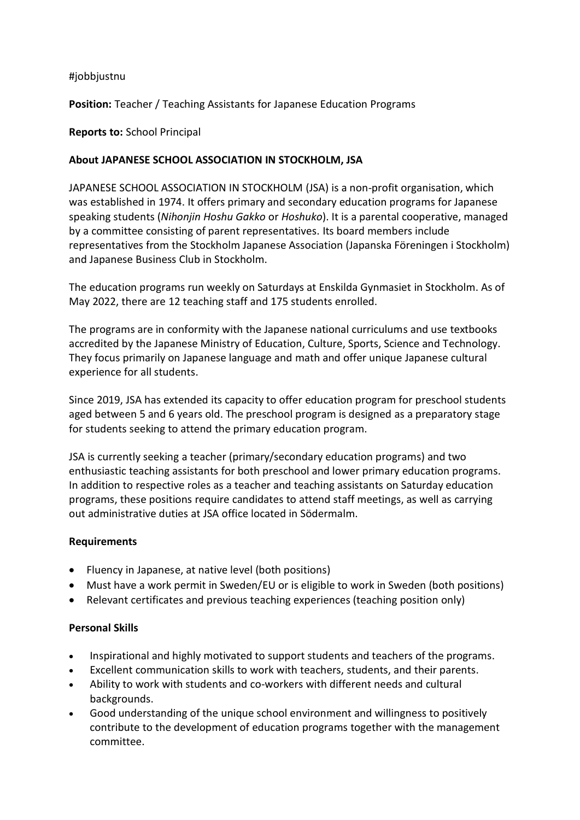## #jobbjustnu

**Position:** Teacher / Teaching Assistants for Japanese Education Programs

## **Reports to:** School Principal

# **About JAPANESE SCHOOL ASSOCIATION IN STOCKHOLM, JSA**

JAPANESE SCHOOL ASSOCIATION IN STOCKHOLM (JSA) is a non-profit organisation, which was established in 1974. It offers primary and secondary education programs for Japanese speaking students (*Nihonjin Hoshu Gakko* or *Hoshuko*). It is a parental cooperative, managed by a committee consisting of parent representatives. Its board members include representatives from the Stockholm Japanese Association (Japanska Föreningen i Stockholm) and Japanese Business Club in Stockholm.

The education programs run weekly on Saturdays at Enskilda Gynmasiet in Stockholm. As of May 2022, there are 12 teaching staff and 175 students enrolled.

The programs are in conformity with the Japanese national curriculums and use textbooks accredited by the Japanese Ministry of Education, Culture, Sports, Science and Technology. They focus primarily on Japanese language and math and offer unique Japanese cultural experience for all students.

Since 2019, JSA has extended its capacity to offer education program for preschool students aged between 5 and 6 years old. The preschool program is designed as a preparatory stage for students seeking to attend the primary education program.

JSA is currently seeking a teacher (primary/secondary education programs) and two enthusiastic teaching assistants for both preschool and lower primary education programs. In addition to respective roles as a teacher and teaching assistants on Saturday education programs, these positions require candidates to attend staff meetings, as well as carrying out administrative duties at JSA office located in Södermalm.

### **Requirements**

- Fluency in Japanese, at native level (both positions)
- Must have a work permit in Sweden/EU or is eligible to work in Sweden (both positions)
- Relevant certificates and previous teaching experiences (teaching position only)

### **Personal Skills**

- Inspirational and highly motivated to support students and teachers of the programs.
- Excellent communication skills to work with teachers, students, and their parents.
- Ability to work with students and co-workers with different needs and cultural backgrounds.
- Good understanding of the unique school environment and willingness to positively contribute to the development of education programs together with the management committee.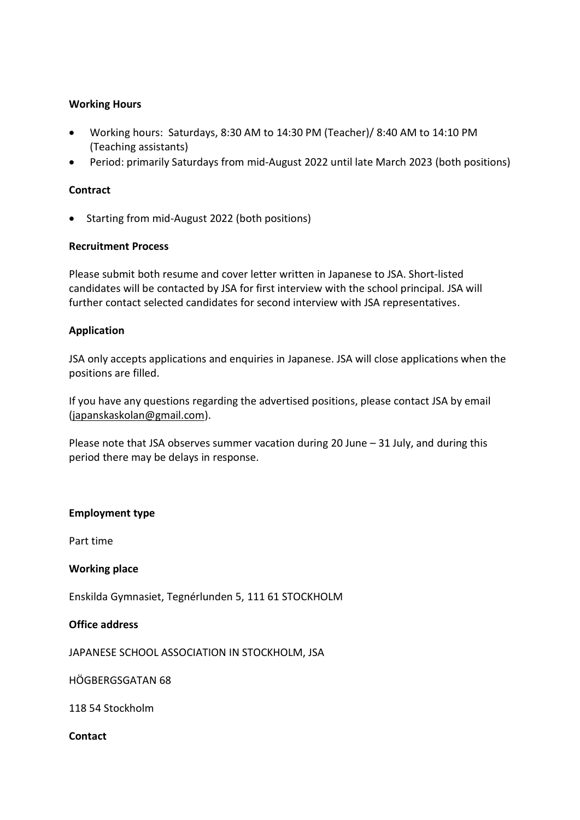# **Working Hours**

- Working hours: Saturdays, 8:30 AM to 14:30 PM (Teacher)/ 8:40 AM to 14:10 PM (Teaching assistants)
- Period: primarily Saturdays from mid-August 2022 until late March 2023 (both positions)

# **Contract**

• Starting from mid-August 2022 (both positions)

## **Recruitment Process**

Please submit both resume and cover letter written in Japanese to JSA. Short-listed candidates will be contacted by JSA for first interview with the school principal. JSA will further contact selected candidates for second interview with JSA representatives.

## **Application**

JSA only accepts applications and enquiries in Japanese. JSA will close applications when the positions are filled.

If you have any questions regarding the advertised positions, please contact JSA by email [\(japanskaskolan@gmail.com\)](mailto:japanskaskolan@gmail.com).

Please note that JSA observes summer vacation during 20 June – 31 July, and during this period there may be delays in response.

### **Employment type**

Part time

### **Working place**

Enskilda Gymnasiet, Tegnérlunden 5, 111 61 STOCKHOLM

### **Office address**

JAPANESE SCHOOL ASSOCIATION IN STOCKHOLM, JSA

HÖGBERGSGATAN 68

118 54 Stockholm

**Contact**